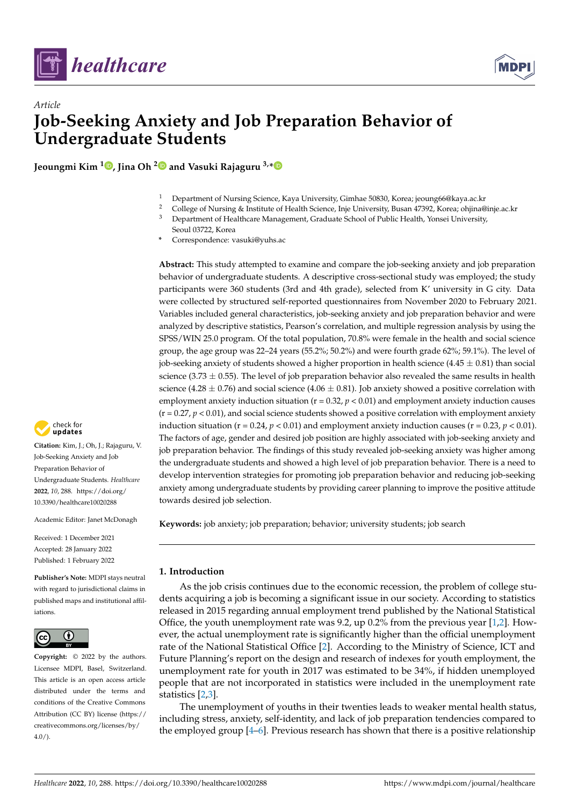

*Article*

# **Job-Seeking Anxiety and Job Preparation Behavior of Undergraduate Students**

**Jeoungmi Kim <sup>1</sup> [,](https://orcid.org/0000-0001-6048-7576) Jina Oh [2](https://orcid.org/0000-0002-5883-7538) and Vasuki Rajaguru 3,[\\*](https://orcid.org/0000-0003-2519-2814)**

- <sup>1</sup> Department of Nursing Science, Kaya University, Gimhae 50830, Korea; jeoung66@kaya.ac.kr
- <sup>2</sup> College of Nursing & Institute of Health Science, Inje University, Busan 47392, Korea; ohjina@inje.ac.kr<br><sup>3</sup> Department of Healthcare Management, Creduate School of Public Health, Voncei University
- <sup>3</sup> Department of Healthcare Management, Graduate School of Public Health, Yonsei University, Seoul 03722, Korea
- **\*** Correspondence: vasuki@yuhs.ac

**Abstract:** This study attempted to examine and compare the job-seeking anxiety and job preparation behavior of undergraduate students. A descriptive cross-sectional study was employed; the study participants were 360 students (3rd and 4th grade), selected from K' university in G city. Data were collected by structured self-reported questionnaires from November 2020 to February 2021. Variables included general characteristics, job-seeking anxiety and job preparation behavior and were analyzed by descriptive statistics, Pearson's correlation, and multiple regression analysis by using the SPSS/WIN 25.0 program. Of the total population, 70.8% were female in the health and social science group, the age group was 22–24 years (55.2%; 50.2%) and were fourth grade 62%; 59.1%). The level of job-seeking anxiety of students showed a higher proportion in health science (4.45  $\pm$  0.81) than social science (3.73  $\pm$  0.55). The level of job preparation behavior also revealed the same results in health science (4.28  $\pm$  0.76) and social science (4.06  $\pm$  0.81). Job anxiety showed a positive correlation with employment anxiety induction situation  $(r = 0.32, p < 0.01)$  and employment anxiety induction causes  $(r = 0.27, p < 0.01)$ , and social science students showed a positive correlation with employment anxiety induction situation ( $r = 0.24$ ,  $p < 0.01$ ) and employment anxiety induction causes ( $r = 0.23$ ,  $p < 0.01$ ). The factors of age, gender and desired job position are highly associated with job-seeking anxiety and job preparation behavior. The findings of this study revealed job-seeking anxiety was higher among the undergraduate students and showed a high level of job preparation behavior. There is a need to develop intervention strategies for promoting job preparation behavior and reducing job-seeking anxiety among undergraduate students by providing career planning to improve the positive attitude towards desired job selection.

**Keywords:** job anxiety; job preparation; behavior; university students; job search

# **1. Introduction**

As the job crisis continues due to the economic recession, the problem of college students acquiring a job is becoming a significant issue in our society. According to statistics released in 2015 regarding annual employment trend published by the National Statistical Office, the youth unemployment rate was 9.2, up  $0.2\%$  from the previous year [\[1,](#page-9-0)[2\]](#page-9-1). However, the actual unemployment rate is significantly higher than the official unemployment rate of the National Statistical Office [\[2\]](#page-9-1). According to the Ministry of Science, ICT and Future Planning's report on the design and research of indexes for youth employment, the unemployment rate for youth in 2017 was estimated to be 34%, if hidden unemployed people that are not incorporated in statistics were included in the unemployment rate statistics [\[2](#page-9-1)[,3\]](#page-9-2).

The unemployment of youths in their twenties leads to weaker mental health status, including stress, anxiety, self-identity, and lack of job preparation tendencies compared to the employed group [\[4–](#page-9-3)[6\]](#page-9-4). Previous research has shown that there is a positive relationship



**Citation:** Kim, J.; Oh, J.; Rajaguru, V. Job-Seeking Anxiety and Job Preparation Behavior of Undergraduate Students. *Healthcare* **2022**, *10*, 288. [https://doi.org/](https://doi.org/10.3390/healthcare10020288) [10.3390/healthcare10020288](https://doi.org/10.3390/healthcare10020288)

Academic Editor: Janet McDonagh

Received: 1 December 2021 Accepted: 28 January 2022 Published: 1 February 2022

**Publisher's Note:** MDPI stays neutral with regard to jurisdictional claims in published maps and institutional affiliations.



**Copyright:** © 2022 by the authors. Licensee MDPI, Basel, Switzerland. This article is an open access article distributed under the terms and conditions of the Creative Commons Attribution (CC BY) license [\(https://](https://creativecommons.org/licenses/by/4.0/) [creativecommons.org/licenses/by/](https://creativecommons.org/licenses/by/4.0/)  $4.0/$ ).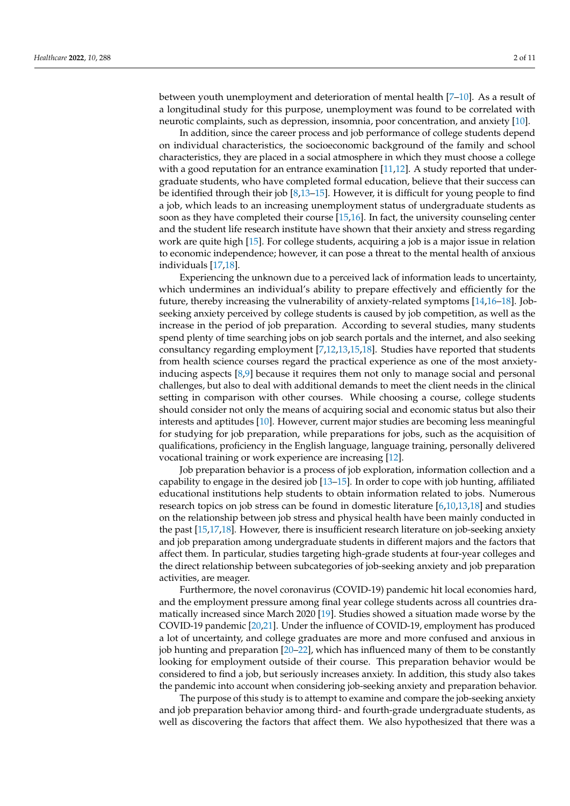between youth unemployment and deterioration of mental health [\[7](#page-9-5)[–10\]](#page-9-6). As a result of a longitudinal study for this purpose, unemployment was found to be correlated with neurotic complaints, such as depression, insomnia, poor concentration, and anxiety [\[10\]](#page-9-6).

In addition, since the career process and job performance of college students depend on individual characteristics, the socioeconomic background of the family and school characteristics, they are placed in a social atmosphere in which they must choose a college with a good reputation for an entrance examination  $[11,12]$  $[11,12]$ . A study reported that undergraduate students, who have completed formal education, believe that their success can be identified through their job [\[8,](#page-9-9)[13](#page-9-10)[–15\]](#page-10-0). However, it is difficult for young people to find a job, which leads to an increasing unemployment status of undergraduate students as soon as they have completed their course [\[15,](#page-10-0)[16\]](#page-10-1). In fact, the university counseling center and the student life research institute have shown that their anxiety and stress regarding work are quite high [\[15\]](#page-10-0). For college students, acquiring a job is a major issue in relation to economic independence; however, it can pose a threat to the mental health of anxious individuals [\[17,](#page-10-2)[18\]](#page-10-3).

Experiencing the unknown due to a perceived lack of information leads to uncertainty, which undermines an individual's ability to prepare effectively and efficiently for the future, thereby increasing the vulnerability of anxiety-related symptoms [\[14](#page-10-4)[,16–](#page-10-1)[18\]](#page-10-3). Jobseeking anxiety perceived by college students is caused by job competition, as well as the increase in the period of job preparation. According to several studies, many students spend plenty of time searching jobs on job search portals and the internet, and also seeking consultancy regarding employment [\[7](#page-9-5)[,12](#page-9-8)[,13](#page-9-10)[,15](#page-10-0)[,18\]](#page-10-3). Studies have reported that students from health science courses regard the practical experience as one of the most anxietyinducing aspects [\[8](#page-9-9)[,9\]](#page-9-11) because it requires them not only to manage social and personal challenges, but also to deal with additional demands to meet the client needs in the clinical setting in comparison with other courses. While choosing a course, college students should consider not only the means of acquiring social and economic status but also their interests and aptitudes [\[10\]](#page-9-6). However, current major studies are becoming less meaningful for studying for job preparation, while preparations for jobs, such as the acquisition of qualifications, proficiency in the English language, language training, personally delivered vocational training or work experience are increasing [\[12\]](#page-9-8).

Job preparation behavior is a process of job exploration, information collection and a capability to engage in the desired job [\[13](#page-9-10)[–15\]](#page-10-0). In order to cope with job hunting, affiliated educational institutions help students to obtain information related to jobs. Numerous research topics on job stress can be found in domestic literature [\[6](#page-9-4)[,10,](#page-9-6)[13](#page-9-10)[,18\]](#page-10-3) and studies on the relationship between job stress and physical health have been mainly conducted in the past [\[15,](#page-10-0)[17](#page-10-2)[,18\]](#page-10-3). However, there is insufficient research literature on job-seeking anxiety and job preparation among undergraduate students in different majors and the factors that affect them. In particular, studies targeting high-grade students at four-year colleges and the direct relationship between subcategories of job-seeking anxiety and job preparation activities, are meager.

Furthermore, the novel coronavirus (COVID-19) pandemic hit local economies hard, and the employment pressure among final year college students across all countries dramatically increased since March 2020 [\[19\]](#page-10-5). Studies showed a situation made worse by the COVID-19 pandemic [\[20,](#page-10-6)[21\]](#page-10-7). Under the influence of COVID-19, employment has produced a lot of uncertainty, and college graduates are more and more confused and anxious in job hunting and preparation [\[20–](#page-10-6)[22\]](#page-10-8), which has influenced many of them to be constantly looking for employment outside of their course. This preparation behavior would be considered to find a job, but seriously increases anxiety. In addition, this study also takes the pandemic into account when considering job-seeking anxiety and preparation behavior.

The purpose of this study is to attempt to examine and compare the job-seeking anxiety and job preparation behavior among third- and fourth-grade undergraduate students, as well as discovering the factors that affect them. We also hypothesized that there was a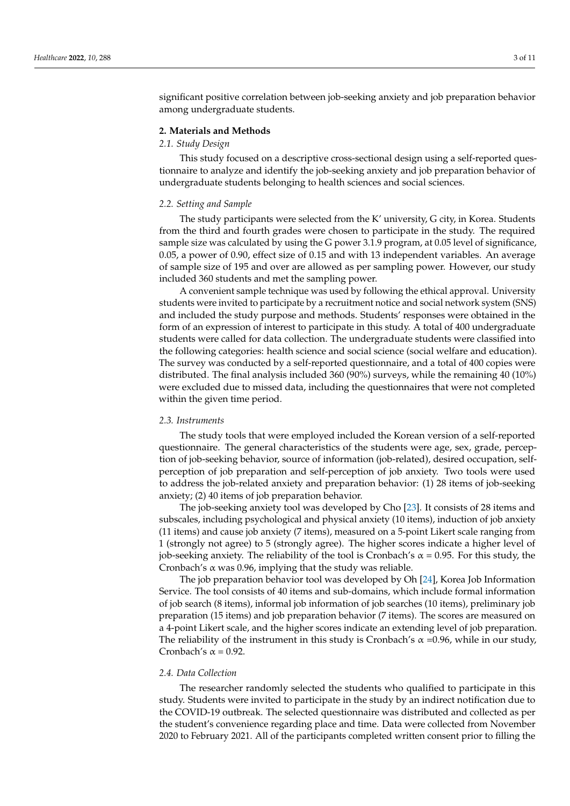significant positive correlation between job-seeking anxiety and job preparation behavior among undergraduate students.

#### **2. Materials and Methods**

# *2.1. Study Design*

This study focused on a descriptive cross-sectional design using a self-reported questionnaire to analyze and identify the job-seeking anxiety and job preparation behavior of undergraduate students belonging to health sciences and social sciences.

#### *2.2. Setting and Sample*

The study participants were selected from the K' university, G city, in Korea. Students from the third and fourth grades were chosen to participate in the study. The required sample size was calculated by using the G power 3.1.9 program, at 0.05 level of significance, 0.05, a power of 0.90, effect size of 0.15 and with 13 independent variables. An average of sample size of 195 and over are allowed as per sampling power. However, our study included 360 students and met the sampling power.

A convenient sample technique was used by following the ethical approval. University students were invited to participate by a recruitment notice and social network system (SNS) and included the study purpose and methods. Students' responses were obtained in the form of an expression of interest to participate in this study. A total of 400 undergraduate students were called for data collection. The undergraduate students were classified into the following categories: health science and social science (social welfare and education). The survey was conducted by a self-reported questionnaire, and a total of 400 copies were distributed. The final analysis included 360 (90%) surveys, while the remaining 40 (10%) were excluded due to missed data, including the questionnaires that were not completed within the given time period.

#### *2.3. Instruments*

The study tools that were employed included the Korean version of a self-reported questionnaire. The general characteristics of the students were age, sex, grade, perception of job-seeking behavior, source of information (job-related), desired occupation, selfperception of job preparation and self-perception of job anxiety. Two tools were used to address the job-related anxiety and preparation behavior: (1) 28 items of job-seeking anxiety; (2) 40 items of job preparation behavior.

The job-seeking anxiety tool was developed by Cho [\[23\]](#page-10-9). It consists of 28 items and subscales, including psychological and physical anxiety (10 items), induction of job anxiety (11 items) and cause job anxiety (7 items), measured on a 5-point Likert scale ranging from 1 (strongly not agree) to 5 (strongly agree). The higher scores indicate a higher level of job-seeking anxiety. The reliability of the tool is Cronbach's  $\alpha$  = 0.95. For this study, the Cronbach's  $\alpha$  was 0.96, implying that the study was reliable.

The job preparation behavior tool was developed by Oh [\[24\]](#page-10-10), Korea Job Information Service. The tool consists of 40 items and sub-domains, which include formal information of job search (8 items), informal job information of job searches (10 items), preliminary job preparation (15 items) and job preparation behavior (7 items). The scores are measured on a 4-point Likert scale, and the higher scores indicate an extending level of job preparation. The reliability of the instrument in this study is Cronbach's  $\alpha$  =0.96, while in our study, Cronbach's  $\alpha$  = 0.92.

#### *2.4. Data Collection*

The researcher randomly selected the students who qualified to participate in this study. Students were invited to participate in the study by an indirect notification due to the COVID-19 outbreak. The selected questionnaire was distributed and collected as per the student's convenience regarding place and time. Data were collected from November 2020 to February 2021. All of the participants completed written consent prior to filling the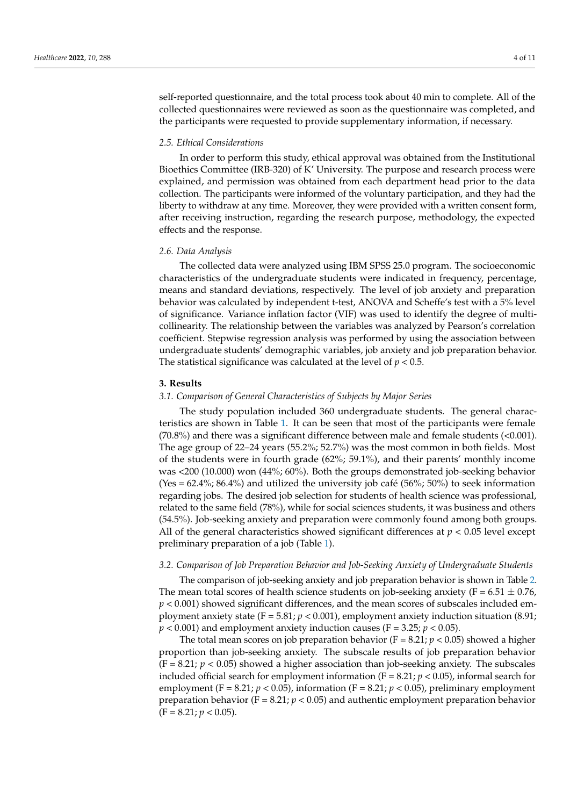self-reported questionnaire, and the total process took about 40 min to complete. All of the collected questionnaires were reviewed as soon as the questionnaire was completed, and the participants were requested to provide supplementary information, if necessary.

## *2.5. Ethical Considerations*

In order to perform this study, ethical approval was obtained from the Institutional Bioethics Committee (IRB-320) of K' University. The purpose and research process were explained, and permission was obtained from each department head prior to the data collection. The participants were informed of the voluntary participation, and they had the liberty to withdraw at any time. Moreover, they were provided with a written consent form, after receiving instruction, regarding the research purpose, methodology, the expected effects and the response.

#### *2.6. Data Analysis*

The collected data were analyzed using IBM SPSS 25.0 program. The socioeconomic characteristics of the undergraduate students were indicated in frequency, percentage, means and standard deviations, respectively. The level of job anxiety and preparation behavior was calculated by independent t-test, ANOVA and Scheffe's test with a 5% level of significance. Variance inflation factor (VIF) was used to identify the degree of multicollinearity. The relationship between the variables was analyzed by Pearson's correlation coefficient. Stepwise regression analysis was performed by using the association between undergraduate students' demographic variables, job anxiety and job preparation behavior. The statistical significance was calculated at the level of *p* < 0.5.

#### **3. Results**

#### *3.1. Comparison of General Characteristics of Subjects by Major Series*

The study population included 360 undergraduate students. The general characteristics are shown in Table [1.](#page-4-0) It can be seen that most of the participants were female (70.8%) and there was a significant difference between male and female students (<0.001). The age group of 22–24 years (55.2%; 52.7%) was the most common in both fields. Most of the students were in fourth grade (62%; 59.1%), and their parents' monthly income was <200 (10.000) won (44%; 60%). Both the groups demonstrated job-seeking behavior  $(Yes = 62.4\%; 86.4\%)$  and utilized the university job café (56%; 50%) to seek information regarding jobs. The desired job selection for students of health science was professional, related to the same field (78%), while for social sciences students, it was business and others (54.5%). Job-seeking anxiety and preparation were commonly found among both groups. All of the general characteristics showed significant differences at  $p < 0.05$  level except preliminary preparation of a job (Table [1\)](#page-4-0).

#### *3.2. Comparison of Job Preparation Behavior and Job-Seeking Anxiety of Undergraduate Students*

The comparison of job-seeking anxiety and job preparation behavior is shown in Table [2.](#page-4-1) The mean total scores of health science students on job-seeking anxiety ( $F = 6.51 \pm 0.76$ , *p* < 0.001) showed significant differences, and the mean scores of subscales included employment anxiety state (F = 5.81; *p* < 0.001), employment anxiety induction situation (8.91;  $p < 0.001$ ) and employment anxiety induction causes (F = 3.25;  $p < 0.05$ ).

The total mean scores on job preparation behavior ( $F = 8.21$ ;  $p < 0.05$ ) showed a higher proportion than job-seeking anxiety. The subscale results of job preparation behavior  $(F = 8.21; p < 0.05)$  showed a higher association than job-seeking anxiety. The subscales included official search for employment information  $(F = 8.21; p < 0.05)$ , informal search for employment (F = 8.21;  $p < 0.05$ ), information (F = 8.21;  $p < 0.05$ ), preliminary employment preparation behavior ( $F = 8.21$ ;  $p < 0.05$ ) and authentic employment preparation behavior (F = 8.21; *p* < 0.05).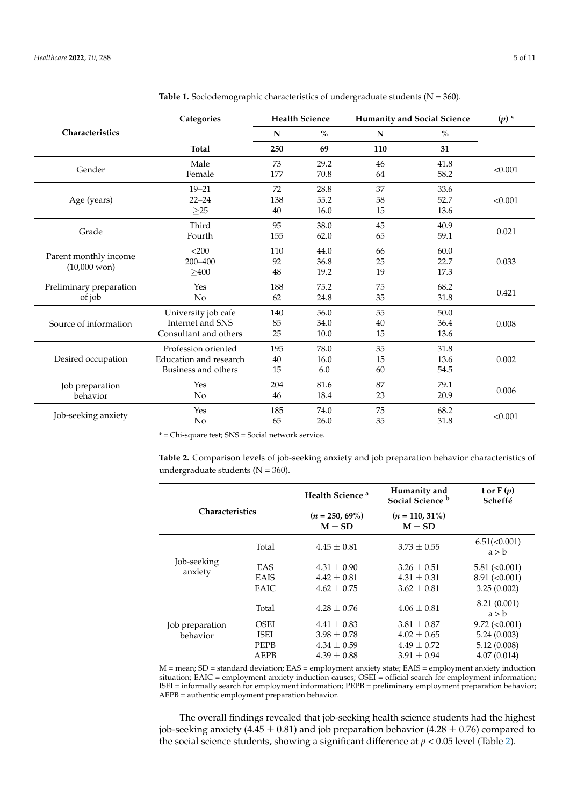|                         | Categories             | <b>Health Science</b> |      | <b>Humanity and Social Science</b> |      | $(p)$ * |  |
|-------------------------|------------------------|-----------------------|------|------------------------------------|------|---------|--|
| Characteristics         |                        | N                     | $\%$ | $\mathbf N$                        | $\%$ |         |  |
|                         | <b>Total</b>           | 250                   | 69   | 110                                | 31   |         |  |
| Gender                  | Male                   | 73                    | 29.2 | 46                                 | 41.8 | < 0.001 |  |
|                         | Female                 | 177                   | 70.8 | 64                                 | 58.2 |         |  |
|                         | $19 - 21$              | 72                    | 28.8 | 37                                 | 33.6 |         |  |
| Age (years)             | $22 - 24$              | 138                   | 55.2 | 58                                 | 52.7 | < 0.001 |  |
|                         | $\geq$ 25              | 40                    | 16.0 | 15                                 | 13.6 |         |  |
|                         | Third                  | 95                    | 38.0 | 45                                 | 40.9 |         |  |
| Grade                   | Fourth                 | 155                   | 62.0 | 65                                 | 59.1 | 0.021   |  |
|                         | < 200                  | 110                   | 44.0 | 66                                 | 60.0 |         |  |
| Parent monthly income   | 200-400                | 92                    | 36.8 | 25                                 | 22.7 | 0.033   |  |
| $(10,000 \text{ won})$  | >400                   | 48                    | 19.2 | 19                                 | 17.3 |         |  |
| Preliminary preparation | Yes                    | 188                   | 75.2 | 75                                 | 68.2 |         |  |
| of job                  | N <sub>o</sub>         | 62                    | 24.8 | 35                                 | 31.8 | 0.421   |  |
|                         | University job cafe    | 140                   | 56.0 | 55                                 | 50.0 |         |  |
| Source of information   | Internet and SNS       | 85                    | 34.0 | 40                                 | 36.4 | 0.008   |  |
|                         | Consultant and others  | 25<br>10.0<br>15      |      | 13.6                               |      |         |  |
|                         | Profession oriented    | 195                   | 78.0 | 35                                 | 31.8 |         |  |
| Desired occupation      | Education and research | 40                    | 16.0 | 15                                 | 13.6 | 0.002   |  |
|                         | Business and others    | 15                    | 6.0  | 60                                 | 54.5 |         |  |
| Job preparation         | Yes                    | 204                   | 81.6 | 87                                 | 79.1 |         |  |
| behavior                | No                     | 46                    | 18.4 | 23                                 | 20.9 | 0.006   |  |
|                         | Yes                    | 185                   | 74.0 | 75                                 | 68.2 |         |  |
| Job-seeking anxiety     | No                     | 65                    | 26.0 | 35                                 | 31.8 | < 0.001 |  |

<span id="page-4-0"></span>Table 1. Sociodemographic characteristics of undergraduate students (N = 360).

\* = Chi-square test; SNS = Social network service.

<span id="page-4-1"></span>**Table 2.** Comparison levels of job-seeking anxiety and job preparation behavior characteristics of undergraduate students ( $N = 360$ ).

| <b>Characteristics</b>      |             | Health Science <sup>a</sup>     | Humanity and<br>Social Science <sup>b</sup> | t or $F(p)$<br>Scheffé |
|-----------------------------|-------------|---------------------------------|---------------------------------------------|------------------------|
|                             |             | $(n = 250, 69\%)$<br>$M \pm SD$ | $(n = 110, 31\%)$<br>$M + SD$               |                        |
| Job-seeking<br>anxiety      | Total       | $4.45 \pm 0.81$                 | $3.73 \pm 0.55$                             | 6.51(<0.001)<br>a > b  |
|                             | <b>EAS</b>  | $4.31 \pm 0.90$                 | $3.26 \pm 0.51$                             | $5.81 (\leq 0.001)$    |
|                             | <b>EAIS</b> | $4.42 + 0.81$                   | $4.31 \pm 0.31$                             | $8.91 (\leq 0.001)$    |
|                             | EAIC        | $4.62 \pm 0.75$                 | $3.62 \pm 0.81$                             | 3.25(0.002)            |
|                             | Total       | $4.28 + 0.76$                   | $4.06 + 0.81$                               | 8.21 (0.001)<br>a > b  |
| Job preparation<br>behavior | OSEI        | $4.41 \pm 0.83$                 | $3.81 \pm 0.87$                             | $9.72 \, (\leq 0.001)$ |
|                             | <b>ISEI</b> | $3.98 \pm 0.78$                 | $4.02 \pm 0.65$                             | 5.24(0.003)            |
|                             | <b>PEPB</b> | $4.34 \pm 0.59$                 | $4.49 \pm 0.72$                             | 5.12(0.008)            |
|                             | AEPB        | $4.39 \pm 0.88$                 | $3.91 \pm 0.94$                             | 4.07(0.014)            |

M = mean; SD = standard deviation; EAS = employment anxiety state; EAIS = employment anxiety induction situation; EAIC = employment anxiety induction causes; OSEI = official search for employment information; ISEI = informally search for employment information; PEPB = preliminary employment preparation behavior; AEPB = authentic employment preparation behavior.

The overall findings revealed that job-seeking health science students had the highest job-seeking anxiety (4.45  $\pm$  0.81) and job preparation behavior (4.28  $\pm$  0.76) compared to the social science students, showing a significant difference at  $p < 0.05$  level (Table [2\)](#page-4-1).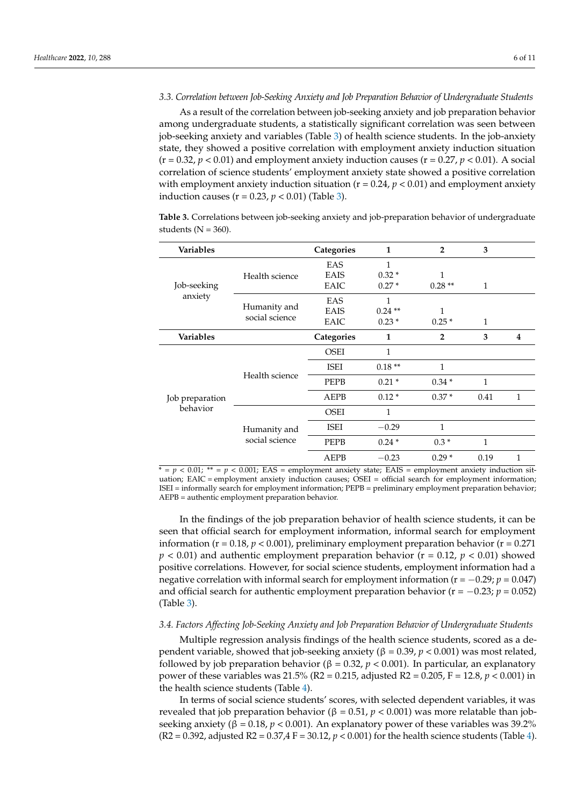## *3.3. Correlation between Job-Seeking Anxiety and Job Preparation Behavior of Undergraduate Students*

As a result of the correlation between job-seeking anxiety and job preparation behavior among undergraduate students, a statistically significant correlation was seen between job-seeking anxiety and variables (Table [3\)](#page-5-0) of health science students. In the job-anxiety state, they showed a positive correlation with employment anxiety induction situation  $(r = 0.32, p < 0.01)$  and employment anxiety induction causes  $(r = 0.27, p < 0.01)$ . A social correlation of science students' employment anxiety state showed a positive correlation with employment anxiety induction situation  $(r = 0.24, p < 0.01)$  and employment anxiety induction causes ( $r = 0.23$ ,  $p < 0.01$ ) (Table [3\)](#page-5-0).

<span id="page-5-0"></span>**Table 3.** Correlations between job-seeking anxiety and job-preparation behavior of undergraduate students ( $N = 360$ ).

| Variables                   |                                | Categories  | $\mathbf{1}$ | $\mathbf{2}$   | 3    |   |
|-----------------------------|--------------------------------|-------------|--------------|----------------|------|---|
| Job-seeking<br>anxiety      |                                | EAS         | 1            |                |      |   |
|                             | Health science                 | <b>EAIS</b> | $0.32*$      | 1              |      |   |
|                             |                                | EAIC        | $0.27*$      | $0.28**$       | 1    |   |
|                             | Humanity and<br>social science | EAS         | 1            |                |      |   |
|                             |                                | <b>EAIS</b> | $0.24**$     | 1              |      |   |
|                             |                                | EAIC        | $0.23*$      | $0.25*$        | 1    |   |
| <b>Variables</b>            |                                | Categories  | $\mathbf{1}$ | $\overline{2}$ | 3    | 4 |
| Job preparation<br>behavior | Health science                 | <b>OSEI</b> | 1            |                |      |   |
|                             |                                | <b>ISEI</b> | $0.18**$     | $\mathbf{1}$   |      |   |
|                             |                                | <b>PEPB</b> | $0.21*$      | $0.34*$        | 1    |   |
|                             |                                | AEPB        | $0.12*$      | $0.37*$        | 0.41 | 1 |
|                             | Humanity and<br>social science | <b>OSEI</b> | 1            |                |      |   |
|                             |                                | ISEI        | $-0.29$      | 1              |      |   |
|                             |                                | <b>PEPB</b> | $0.24*$      | $0.3*$         | 1    |   |
|                             |                                | AEPB        | $-0.23$      | $0.29*$        | 0.19 | 1 |

 $\overline{f} = p < 0.01$ ;  $\overline{f} = p < 0.001$ ; EAS = employment anxiety state; EAIS = employment anxiety induction situation; EAIC = employment anxiety induction causes; OSEI = official search for employment information; ISEI = informally search for employment information; PEPB = preliminary employment preparation behavior; AEPB = authentic employment preparation behavior.

In the findings of the job preparation behavior of health science students, it can be seen that official search for employment information, informal search for employment information ( $r = 0.18$ ,  $p < 0.001$ ), preliminary employment preparation behavior ( $r = 0.271$ )  $p < 0.01$ ) and authentic employment preparation behavior ( $r = 0.12$ ,  $p < 0.01$ ) showed positive correlations. However, for social science students, employment information had a negative correlation with informal search for employment information (r = −0.29; *p* = 0.047) and official search for authentic employment preparation behavior ( $r = -0.23$ ;  $p = 0.052$ ) (Table [3\)](#page-5-0).

#### *3.4. Factors Affecting Job-Seeking Anxiety and Job Preparation Behavior of Undergraduate Students*

Multiple regression analysis findings of the health science students, scored as a dependent variable, showed that job-seeking anxiety (β = 0.39, *p* < 0.001) was most related, followed by job preparation behavior (β = 0.32, *p* < 0.001). In particular, an explanatory power of these variables was 21.5% (R2 = 0.215, adjusted R2 = 0.205, F = 12.8, *p* < 0.001) in the health science students (Table [4\)](#page-6-0).

In terms of social science students' scores, with selected dependent variables, it was revealed that job preparation behavior (β = 0.51, *p* < 0.001) was more relatable than jobseeking anxiety ( $β = 0.18, p < 0.001$ ). An explanatory power of these variables was 39.2% (R2 = 0.392, adjusted R2 = 0.37,4 F = 30.12, *p* < 0.001) for the health science students (Table [4\)](#page-6-0).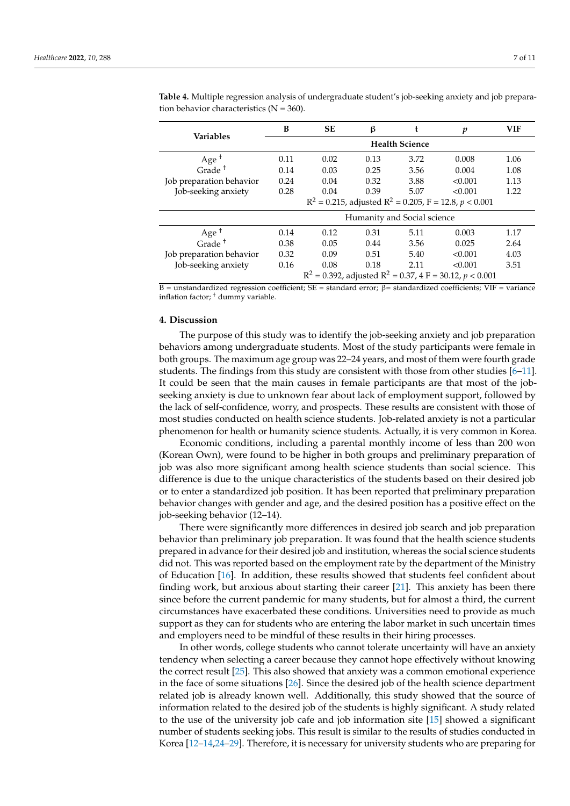| <b>Variables</b>                                              | B                                                              | <b>SE</b> | β    |      | $\boldsymbol{p}$ | <b>VIF</b> |  |
|---------------------------------------------------------------|----------------------------------------------------------------|-----------|------|------|------------------|------------|--|
|                                                               | <b>Health Science</b>                                          |           |      |      |                  |            |  |
| Age <sup><math>+</math></sup> Grade <sup><math>+</math></sup> | 0.11                                                           | 0.02      | 0.13 | 3.72 | 0.008            | 1.06       |  |
|                                                               | 0.14                                                           | 0.03      | 0.25 | 3.56 | 0.004            | 1.08       |  |
| Job preparation behavior                                      | 0.24                                                           | 0.04      | 0.32 | 3.88 | < 0.001          | 1.13       |  |
| Job-seeking anxiety                                           | 0.28                                                           | 0.04      | 0.39 | 5.07 | < 0.001          | 1.22       |  |
|                                                               | $R^2$ = 0.215, adjusted $R^2$ = 0.205, F = 12.8, p < 0.001     |           |      |      |                  |            |  |
|                                                               | Humanity and Social science                                    |           |      |      |                  |            |  |
| Age <sup><math>+</math></sup> Grade <sup><math>+</math></sup> | 0.14                                                           | 0.12      | 0.31 | 5.11 | 0.003            | 1.17       |  |
|                                                               | 0.38                                                           | 0.05      | 0.44 | 3.56 | 0.025            | 2.64       |  |
| Job preparation behavior                                      | 0.32                                                           | 0.09      | 0.51 | 5.40 | < 0.001          | 4.03       |  |
| Job-seeking anxiety                                           | 0.16                                                           | 0.08      | 0.18 | 2.11 | < 0.001          | 3.51       |  |
|                                                               | $R^2 = 0.392$ , adjusted $R^2 = 0.37$ , 4 F = 30.12, p < 0.001 |           |      |      |                  |            |  |

<span id="page-6-0"></span>**Table 4.** Multiple regression analysis of undergraduate student's job-seeking anxiety and job preparation behavior characteristics ( $N = 360$ ).

B = unstandardized regression coefficient; SE = standard error; β= standardized coefficients; VIF = variance inflation factor; † dummy variable.

## **4. Discussion**

The purpose of this study was to identify the job-seeking anxiety and job preparation behaviors among undergraduate students. Most of the study participants were female in both groups. The maximum age group was 22–24 years, and most of them were fourth grade students. The findings from this study are consistent with those from other studies [\[6](#page-9-4)[–11\]](#page-9-7). It could be seen that the main causes in female participants are that most of the jobseeking anxiety is due to unknown fear about lack of employment support, followed by the lack of self-confidence, worry, and prospects. These results are consistent with those of most studies conducted on health science students. Job-related anxiety is not a particular phenomenon for health or humanity science students. Actually, it is very common in Korea.

Economic conditions, including a parental monthly income of less than 200 won (Korean Own), were found to be higher in both groups and preliminary preparation of job was also more significant among health science students than social science. This difference is due to the unique characteristics of the students based on their desired job or to enter a standardized job position. It has been reported that preliminary preparation behavior changes with gender and age, and the desired position has a positive effect on the job-seeking behavior (12–14).

There were significantly more differences in desired job search and job preparation behavior than preliminary job preparation. It was found that the health science students prepared in advance for their desired job and institution, whereas the social science students did not. This was reported based on the employment rate by the department of the Ministry of Education [\[16\]](#page-10-1). In addition, these results showed that students feel confident about finding work, but anxious about starting their career [\[21\]](#page-10-7). This anxiety has been there since before the current pandemic for many students, but for almost a third, the current circumstances have exacerbated these conditions. Universities need to provide as much support as they can for students who are entering the labor market in such uncertain times and employers need to be mindful of these results in their hiring processes.

In other words, college students who cannot tolerate uncertainty will have an anxiety tendency when selecting a career because they cannot hope effectively without knowing the correct result [\[25\]](#page-10-11). This also showed that anxiety was a common emotional experience in the face of some situations [\[26\]](#page-10-12). Since the desired job of the health science department related job is already known well. Additionally, this study showed that the source of information related to the desired job of the students is highly significant. A study related to the use of the university job cafe and job information site [\[15\]](#page-10-0) showed a significant number of students seeking jobs. This result is similar to the results of studies conducted in Korea [\[12](#page-9-8)[–14,](#page-10-4)[24–](#page-10-10)[29\]](#page-10-13). Therefore, it is necessary for university students who are preparing for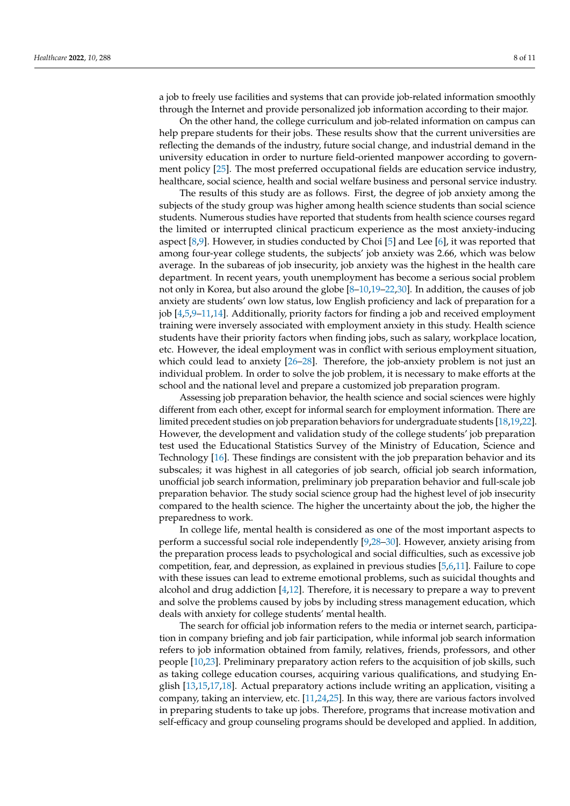a job to freely use facilities and systems that can provide job-related information smoothly through the Internet and provide personalized job information according to their major.

On the other hand, the college curriculum and job-related information on campus can help prepare students for their jobs. These results show that the current universities are reflecting the demands of the industry, future social change, and industrial demand in the university education in order to nurture field-oriented manpower according to government policy [\[25\]](#page-10-11). The most preferred occupational fields are education service industry, healthcare, social science, health and social welfare business and personal service industry.

The results of this study are as follows. First, the degree of job anxiety among the subjects of the study group was higher among health science students than social science students. Numerous studies have reported that students from health science courses regard the limited or interrupted clinical practicum experience as the most anxiety-inducing aspect [\[8](#page-9-9)[,9\]](#page-9-11). However, in studies conducted by Choi [\[5\]](#page-9-12) and Lee [\[6\]](#page-9-4), it was reported that among four-year college students, the subjects' job anxiety was 2.66, which was below average. In the subareas of job insecurity, job anxiety was the highest in the health care department. In recent years, youth unemployment has become a serious social problem not only in Korea, but also around the globe [\[8](#page-9-9)[–10,](#page-9-6)[19](#page-10-5)[–22](#page-10-8)[,30\]](#page-10-14). In addition, the causes of job anxiety are students' own low status, low English proficiency and lack of preparation for a job [\[4](#page-9-3)[,5](#page-9-12)[,9](#page-9-11)[–11](#page-9-7)[,14\]](#page-10-4). Additionally, priority factors for finding a job and received employment training were inversely associated with employment anxiety in this study. Health science students have their priority factors when finding jobs, such as salary, workplace location, etc. However, the ideal employment was in conflict with serious employment situation, which could lead to anxiety [\[26–](#page-10-12)[28\]](#page-10-15). Therefore, the job-anxiety problem is not just an individual problem. In order to solve the job problem, it is necessary to make efforts at the school and the national level and prepare a customized job preparation program.

Assessing job preparation behavior, the health science and social sciences were highly different from each other, except for informal search for employment information. There are limited precedent studies on job preparation behaviors for undergraduate students [\[18,](#page-10-3)[19](#page-10-5)[,22\]](#page-10-8). However, the development and validation study of the college students' job preparation test used the Educational Statistics Survey of the Ministry of Education, Science and Technology [\[16\]](#page-10-1). These findings are consistent with the job preparation behavior and its subscales; it was highest in all categories of job search, official job search information, unofficial job search information, preliminary job preparation behavior and full-scale job preparation behavior. The study social science group had the highest level of job insecurity compared to the health science. The higher the uncertainty about the job, the higher the preparedness to work.

In college life, mental health is considered as one of the most important aspects to perform a successful social role independently [\[9](#page-9-11)[,28](#page-10-15)[–30\]](#page-10-14). However, anxiety arising from the preparation process leads to psychological and social difficulties, such as excessive job competition, fear, and depression, as explained in previous studies [\[5,](#page-9-12)[6,](#page-9-4)[11\]](#page-9-7). Failure to cope with these issues can lead to extreme emotional problems, such as suicidal thoughts and alcohol and drug addiction  $[4,12]$  $[4,12]$ . Therefore, it is necessary to prepare a way to prevent and solve the problems caused by jobs by including stress management education, which deals with anxiety for college students' mental health.

The search for official job information refers to the media or internet search, participation in company briefing and job fair participation, while informal job search information refers to job information obtained from family, relatives, friends, professors, and other people [\[10](#page-9-6)[,23\]](#page-10-9). Preliminary preparatory action refers to the acquisition of job skills, such as taking college education courses, acquiring various qualifications, and studying English [\[13](#page-9-10)[,15](#page-10-0)[,17](#page-10-2)[,18\]](#page-10-3). Actual preparatory actions include writing an application, visiting a company, taking an interview, etc. [\[11](#page-9-7)[,24](#page-10-10)[,25\]](#page-10-11). In this way, there are various factors involved in preparing students to take up jobs. Therefore, programs that increase motivation and self-efficacy and group counseling programs should be developed and applied. In addition,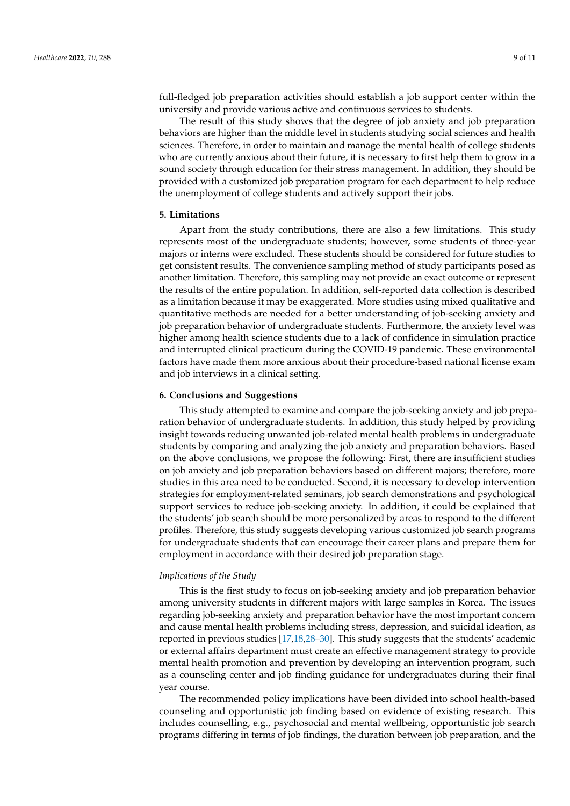full-fledged job preparation activities should establish a job support center within the university and provide various active and continuous services to students.

The result of this study shows that the degree of job anxiety and job preparation behaviors are higher than the middle level in students studying social sciences and health sciences. Therefore, in order to maintain and manage the mental health of college students who are currently anxious about their future, it is necessary to first help them to grow in a sound society through education for their stress management. In addition, they should be provided with a customized job preparation program for each department to help reduce the unemployment of college students and actively support their jobs.

# **5. Limitations**

Apart from the study contributions, there are also a few limitations. This study represents most of the undergraduate students; however, some students of three-year majors or interns were excluded. These students should be considered for future studies to get consistent results. The convenience sampling method of study participants posed as another limitation. Therefore, this sampling may not provide an exact outcome or represent the results of the entire population. In addition, self-reported data collection is described as a limitation because it may be exaggerated. More studies using mixed qualitative and quantitative methods are needed for a better understanding of job-seeking anxiety and job preparation behavior of undergraduate students. Furthermore, the anxiety level was higher among health science students due to a lack of confidence in simulation practice and interrupted clinical practicum during the COVID-19 pandemic. These environmental factors have made them more anxious about their procedure-based national license exam and job interviews in a clinical setting.

# **6. Conclusions and Suggestions**

This study attempted to examine and compare the job-seeking anxiety and job preparation behavior of undergraduate students. In addition, this study helped by providing insight towards reducing unwanted job-related mental health problems in undergraduate students by comparing and analyzing the job anxiety and preparation behaviors. Based on the above conclusions, we propose the following: First, there are insufficient studies on job anxiety and job preparation behaviors based on different majors; therefore, more studies in this area need to be conducted. Second, it is necessary to develop intervention strategies for employment-related seminars, job search demonstrations and psychological support services to reduce job-seeking anxiety. In addition, it could be explained that the students' job search should be more personalized by areas to respond to the different profiles. Therefore, this study suggests developing various customized job search programs for undergraduate students that can encourage their career plans and prepare them for employment in accordance with their desired job preparation stage.

#### *Implications of the Study*

This is the first study to focus on job-seeking anxiety and job preparation behavior among university students in different majors with large samples in Korea. The issues regarding job-seeking anxiety and preparation behavior have the most important concern and cause mental health problems including stress, depression, and suicidal ideation, as reported in previous studies [\[17](#page-10-2)[,18](#page-10-3)[,28](#page-10-15)[–30\]](#page-10-14). This study suggests that the students' academic or external affairs department must create an effective management strategy to provide mental health promotion and prevention by developing an intervention program, such as a counseling center and job finding guidance for undergraduates during their final year course.

The recommended policy implications have been divided into school health-based counseling and opportunistic job finding based on evidence of existing research. This includes counselling, e.g., psychosocial and mental wellbeing, opportunistic job search programs differing in terms of job findings, the duration between job preparation, and the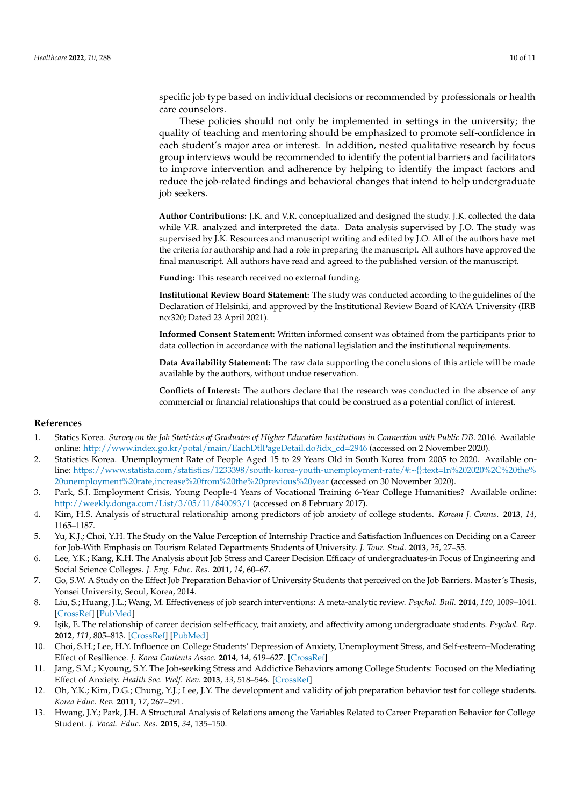specific job type based on individual decisions or recommended by professionals or health care counselors.

These policies should not only be implemented in settings in the university; the quality of teaching and mentoring should be emphasized to promote self-confidence in each student's major area or interest. In addition, nested qualitative research by focus group interviews would be recommended to identify the potential barriers and facilitators to improve intervention and adherence by helping to identify the impact factors and reduce the job-related findings and behavioral changes that intend to help undergraduate job seekers.

**Author Contributions:** J.K. and V.R. conceptualized and designed the study. J.K. collected the data while V.R. analyzed and interpreted the data. Data analysis supervised by J.O. The study was supervised by J.K. Resources and manuscript writing and edited by J.O. All of the authors have met the criteria for authorship and had a role in preparing the manuscript. All authors have approved the final manuscript. All authors have read and agreed to the published version of the manuscript.

**Funding:** This research received no external funding.

**Institutional Review Board Statement:** The study was conducted according to the guidelines of the Declaration of Helsinki, and approved by the Institutional Review Board of KAYA University (IRB no:320; Dated 23 April 2021).

**Informed Consent Statement:** Written informed consent was obtained from the participants prior to data collection in accordance with the national legislation and the institutional requirements.

**Data Availability Statement:** The raw data supporting the conclusions of this article will be made available by the authors, without undue reservation.

**Conflicts of Interest:** The authors declare that the research was conducted in the absence of any commercial or financial relationships that could be construed as a potential conflict of interest.

#### **References**

- <span id="page-9-0"></span>1. Statics Korea. *Survey on the Job Statistics of Graduates of Higher Education Institutions in Connection with Public DB*. 2016. Available online: [http://www.index.go.kr/potal/main/EachDtlPageDetail.do?idx\\_cd=2946](http://www.index.go.kr/potal/main/EachDtlPageDetail.do?idx_cd=2946) (accessed on 2 November 2020).
- <span id="page-9-1"></span>2. Statistics Korea. Unemployment Rate of People Aged 15 to 29 Years Old in South Korea from 2005 to 2020. Available online: [https://www.statista.com/statistics/1233398/south-korea-youth-unemployment-rate/#:~{}:text=In%202020%2C%20the%](https://www.statista.com/statistics/1233398/south-korea-youth-unemployment-rate/#:~{}:text=In%202020%2C%20the%20unemployment%20rate,increase%20from%20the%20previous%20year) [20unemployment%20rate,increase%20from%20the%20previous%20year](https://www.statista.com/statistics/1233398/south-korea-youth-unemployment-rate/#:~{}:text=In%202020%2C%20the%20unemployment%20rate,increase%20from%20the%20previous%20year) (accessed on 30 November 2020).
- <span id="page-9-2"></span>3. Park, S.J. Employment Crisis, Young People-4 Years of Vocational Training 6-Year College Humanities? Available online: <http://weekly.donga.com/List/3/05/11/840093/1> (accessed on 8 February 2017).
- <span id="page-9-3"></span>4. Kim, H.S. Analysis of structural relationship among predictors of job anxiety of college students. *Korean J. Couns.* **2013**, *14*, 1165–1187.
- <span id="page-9-12"></span>5. Yu, K.J.; Choi, Y.H. The Study on the Value Perception of Internship Practice and Satisfaction Influences on Deciding on a Career for Job-With Emphasis on Tourism Related Departments Students of University. *J. Tour. Stud.* **2013**, *25*, 27–55.
- <span id="page-9-4"></span>6. Lee, Y.K.; Kang, K.H. The Analysis about Job Stress and Career Decision Efficacy of undergraduates-in Focus of Engineering and Social Science Colleges. *J. Eng. Educ. Res.* **2011**, *14*, 60–67.
- <span id="page-9-5"></span>7. Go, S.W. A Study on the Effect Job Preparation Behavior of University Students that perceived on the Job Barriers. Master's Thesis, Yonsei University, Seoul, Korea, 2014.
- <span id="page-9-9"></span>8. Liu, S.; Huang, J.L.; Wang, M. Effectiveness of job search interventions: A meta-analytic review. *Psychol. Bull.* **2014**, *140*, 1009–1041. [\[CrossRef\]](http://doi.org/10.1037/a0035923) [\[PubMed\]](http://www.ncbi.nlm.nih.gov/pubmed/24588365)
- <span id="page-9-11"></span>9. I¸sik, E. The relationship of career decision self-efficacy, trait anxiety, and affectivity among undergraduate students. *Psychol. Rep.* **2012**, *111*, 805–813. [\[CrossRef\]](http://doi.org/10.2466/01.09.10.PR0.111.6.805-813) [\[PubMed\]](http://www.ncbi.nlm.nih.gov/pubmed/23402049)
- <span id="page-9-6"></span>10. Choi, S.H.; Lee, H.Y. Influence on College Students' Depression of Anxiety, Unemployment Stress, and Self-esteem–Moderating Effect of Resilience. *J. Korea Contents Assoc.* **2014**, *14*, 619–627. [\[CrossRef\]](http://doi.org/10.5392/JKCA.2014.14.10.619)
- <span id="page-9-7"></span>11. Jang, S.M.; Kyoung, S.Y. The Job-seeking Stress and Addictive Behaviors among College Students: Focused on the Mediating Effect of Anxiety. *Health Soc. Welf. Rev.* **2013**, *33*, 518–546. [\[CrossRef\]](http://doi.org/10.15709/hswr.2013.33.4.518)
- <span id="page-9-8"></span>12. Oh, Y.K.; Kim, D.G.; Chung, Y.J.; Lee, J.Y. The development and validity of job preparation behavior test for college students. *Korea Educ. Rev.* **2011**, *17*, 267–291.
- <span id="page-9-10"></span>13. Hwang, J.Y.; Park, J.H. A Structural Analysis of Relations among the Variables Related to Career Preparation Behavior for College Student. *J. Vocat. Educ. Res.* **2015**, *34*, 135–150.